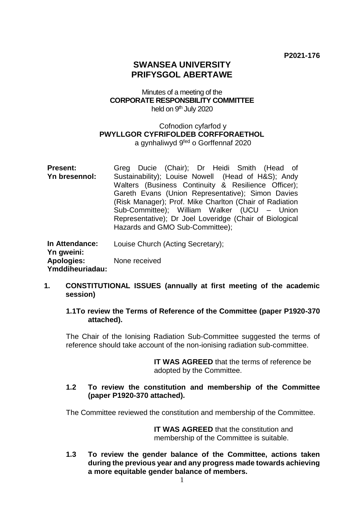# **SWANSEA UNIVERSITY PRIFYSGOL ABERTAWE**

### Minutes of a meeting of the **CORPORATE RESPONSBILITY COMMITTEE** held on 9<sup>th</sup> July 2020

### Cofnodion cyfarfod y **PWYLLGOR CYFRIFOLDEB CORFFORAETHOL** a gynhaliwyd 9<sup>fed</sup> o Gorffennaf 2020

**Present: Yn bresennol:** Greg Ducie (Chair); Dr Heidi Smith (Head of Sustainability); Louise Nowell (Head of H&S); Andy Walters (Business Continuity & Resilience Officer); Gareth Evans (Union Representative); Simon Davies (Risk Manager); Prof. Mike Charlton (Chair of Radiation Sub-Committee); William Walker (UCU – Union Representative); Dr Joel Loveridge (Chair of Biological Hazards and GMO Sub-Committee); **In Attendance:**  Louise Church (Acting Secretary);

**Yn gweini: Apologies: Ymddiheuriadau:** None received

### **1. CONSTITUTIONAL ISSUES (annually at first meeting of the academic session)**

### **1.1To review the Terms of Reference of the Committee (paper P1920-370 attached).**

The Chair of the Ionising Radiation Sub-Committee suggested the terms of reference should take account of the non-ionising radiation sub-committee.

> **IT WAS AGREED** that the terms of reference be adopted by the Committee.

### **1.2 To review the constitution and membership of the Committee (paper P1920-370 attached).**

The Committee reviewed the constitution and membership of the Committee.

**IT WAS AGREED** that the constitution and membership of the Committee is suitable.

**1.3 To review the gender balance of the Committee, actions taken during the previous year and any progress made towards achieving a more equitable gender balance of members.**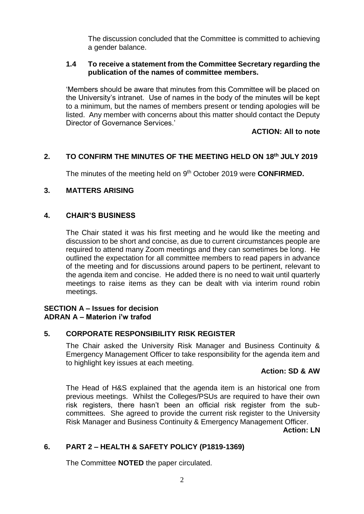The discussion concluded that the Committee is committed to achieving a gender balance.

### **1.4 To receive a statement from the Committee Secretary regarding the publication of the names of committee members.**

'Members should be aware that minutes from this Committee will be placed on the University's intranet. Use of names in the body of the minutes will be kept to a minimum, but the names of members present or tending apologies will be listed. Any member with concerns about this matter should contact the Deputy Director of Governance Services.'

# **ACTION: All to note**

# **2. TO CONFIRM THE MINUTES OF THE MEETING HELD ON 18th JULY 2019**

The minutes of the meeting held on 9<sup>th</sup> October 2019 were **CONFIRMED.** 

### **3. MATTERS ARISING**

### **4. CHAIR'S BUSINESS**

The Chair stated it was his first meeting and he would like the meeting and discussion to be short and concise, as due to current circumstances people are required to attend many Zoom meetings and they can sometimes be long. He outlined the expectation for all committee members to read papers in advance of the meeting and for discussions around papers to be pertinent, relevant to the agenda item and concise. He added there is no need to wait until quarterly meetings to raise items as they can be dealt with via interim round robin meetings.

### **SECTION A – Issues for decision ADRAN A – Materion i'w trafod**

### **5. CORPORATE RESPONSIBILITY RISK REGISTER**

The Chair asked the University Risk Manager and Business Continuity & Emergency Management Officer to take responsibility for the agenda item and to highlight key issues at each meeting.

### **Action: SD & AW**

The Head of H&S explained that the agenda item is an historical one from previous meetings. Whilst the Colleges/PSUs are required to have their own risk registers, there hasn't been an official risk register from the subcommittees. She agreed to provide the current risk register to the University Risk Manager and Business Continuity & Emergency Management Officer.

**Action: LN**

# **6. PART 2 – HEALTH & SAFETY POLICY (P1819-1369)**

The Committee **NOTED** the paper circulated.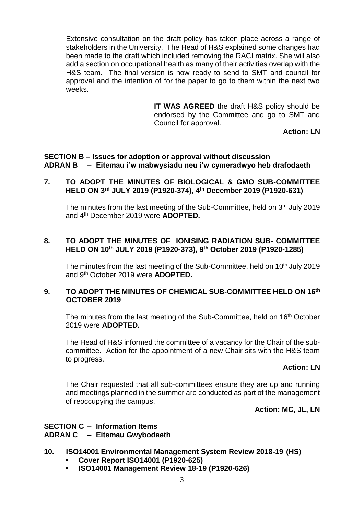Extensive consultation on the draft policy has taken place across a range of stakeholders in the University. The Head of H&S explained some changes had been made to the draft which included removing the RACI matrix. She will also add a section on occupational health as many of their activities overlap with the H&S team. The final version is now ready to send to SMT and council for approval and the intention of for the paper to go to them within the next two weeks.

> **IT WAS AGREED** the draft H&S policy should be endorsed by the Committee and go to SMT and Council for approval.

**Action: LN**

#### **SECTION B – Issues for adoption or approval without discussion ADRAN B – Eitemau i'w mabwysiadu neu i'w cymeradwyo heb drafodaeth**

### **7. TO ADOPT THE MINUTES OF BIOLOGICAL & GMO SUB-COMMITTEE HELD ON 3 rd JULY 2019 (P1920-374), 4 th December 2019 (P1920-631)**

The minutes from the last meeting of the Sub-Committee, held on 3<sup>rd</sup> July 2019 and 4th December 2019 were **ADOPTED.**

### **8. TO ADOPT THE MINUTES OF IONISING RADIATION SUB- COMMITTEE HELD ON 10th JULY 2019 (P1920-373), 9 th October 2019 (P1920-1285)**

The minutes from the last meeting of the Sub-Committee, held on 10<sup>th</sup> July 2019 and 9th October 2019 were **ADOPTED.**

### **9. TO ADOPT THE MINUTES OF CHEMICAL SUB-COMMITTEE HELD ON 16th OCTOBER 2019**

The minutes from the last meeting of the Sub-Committee, held on 16<sup>th</sup> October 2019 were **ADOPTED.**

The Head of H&S informed the committee of a vacancy for the Chair of the subcommittee. Action for the appointment of a new Chair sits with the H&S team to progress.

#### **Action: LN**

The Chair requested that all sub-committees ensure they are up and running and meetings planned in the summer are conducted as part of the management of reoccupying the campus.

**Action: MC, JL, LN**

### **SECTION C – Information Items ADRAN C – Eitemau Gwybodaeth**

- **10. ISO14001 Environmental Management System Review 2018-19 (HS)**
	- **• Cover Report ISO14001 (P1920-625)**
	- **• ISO14001 Management Review 18-19 (P1920-626)**